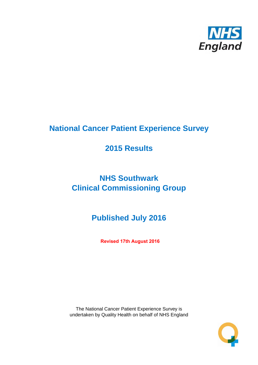

# **National Cancer Patient Experience Survey**

## **2015 Results**

# **NHS Southwark Clinical Commissioning Group**

# **Published July 2016**

**Revised 17th August 2016**

The National Cancer Patient Experience Survey is undertaken by Quality Health on behalf of NHS England

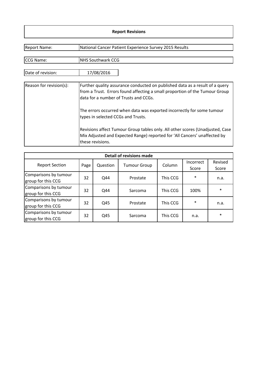#### **Report Revisions**

| <b>Report Name:</b>     | National Cancer Patient Experience Survey 2015 Results                                                                                                                                               |  |  |  |  |  |
|-------------------------|------------------------------------------------------------------------------------------------------------------------------------------------------------------------------------------------------|--|--|--|--|--|
| CCG Name:               | <b>NHS Southwark CCG</b>                                                                                                                                                                             |  |  |  |  |  |
| Date of revision:       | 17/08/2016                                                                                                                                                                                           |  |  |  |  |  |
| Reason for revision(s): | Further quality assurance conducted on published data as a result of a query<br>from a Trust. Errors found affecting a small proportion of the Tumour Group<br>data for a number of Trusts and CCGs. |  |  |  |  |  |
|                         | The errors occurred when data was exported incorrectly for some tumour<br>types in selected CCGs and Trusts.                                                                                         |  |  |  |  |  |
|                         | Revisions affect Tumour Group tables only. All other scores (Unadjusted, Case<br>Mix Adjusted and Expected Range) reported for 'All Cancers' unaffected by<br>these revisions.                       |  |  |  |  |  |

| Detail of revisions made                    |      |          |                               |          |                    |                  |  |  |  |  |
|---------------------------------------------|------|----------|-------------------------------|----------|--------------------|------------------|--|--|--|--|
| <b>Report Section</b>                       | Page | Question | Column<br><b>Tumour Group</b> |          | Incorrect<br>Score | Revised<br>Score |  |  |  |  |
| Comparisons by tumour<br>group for this CCG | 32   | Q44      | Prostate                      | This CCG | $\ast$             | n.a.             |  |  |  |  |
| Comparisons by tumour<br>group for this CCG | 32   | Q44      | Sarcoma                       | This CCG | 100%               | $\ast$           |  |  |  |  |
| Comparisons by tumour<br>group for this CCG | 32   | Q45      | Prostate                      | This CCG | $\ast$             | n.a.             |  |  |  |  |
| Comparisons by tumour<br>group for this CCG | 32   | Q45      | Sarcoma                       | This CCG | n.a.               | $\ast$           |  |  |  |  |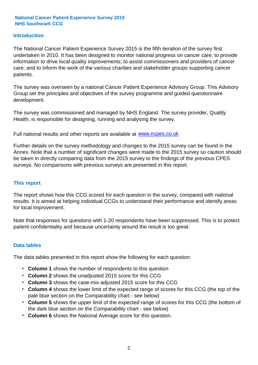#### **Introduction**

The National Cancer Patient Experience Survey 2015 is the fifth iteration of the survey first undertaken in 2010. It has been designed to monitor national progress on cancer care; to provide information to drive local quality improvements; to assist commissioners and providers of cancer care; and to inform the work of the various charities and stakeholder groups supporting cancer patients.

The survey was overseen by a national Cancer Patient Experience Advisory Group. This Advisory Group set the principles and objectives of the survey programme and guided questionnaire development.

The survey was commissioned and managed by NHS England. The survey provider, Quality Health, is responsible for designing, running and analysing the survey.

Full national results and other reports are available at www.ncpes.co.uk

Further details on the survey methodology and changes to the 2015 survey can be found in the Annex. Note that a number of significant changes were made to the 2015 survey so caution should be taken in directly comparing data from the 2015 survey to the findings of the previous CPES surveys. No comparisons with previous surveys are presented in this report.

#### **This report**

The report shows how this CCG scored for each question in the survey, compared with national results. It is aimed at helping individual CCGs to understand their performance and identify areas for local improvement.

Note that responses for questions with 1-20 respondents have been suppressed. This is to protect patient confidentiality and because uncertainty around the result is too great.

#### **Data tables**

The data tables presented in this report show the following for each question:

- **Column 1** shows the number of respondents to this question
- **Column 2** shows the unadjusted 2015 score for this CCG
- **Column 3** shows the case-mix adjusted 2015 score for this CCG
- **Column 4** shows the lower limit of the expected range of scores for this CCG (the top of the pale blue section on the Comparability chart - see below)
- **Column 5** shows the upper limit of the expected range of scores for this CCG (the bottom of the dark blue section on the Comparability chart - see below)
- **Column 6** shows the National Average score for this question.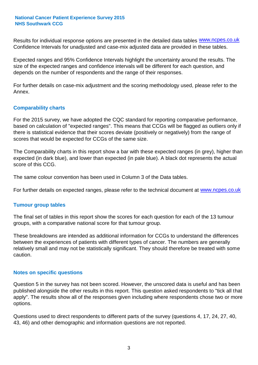Results for individual response options are presented in the detailed data tables **WWW.ncpes.co.uk** Confidence Intervals for unadjusted and case-mix adjusted data are provided in these tables.

Expected ranges and 95% Confidence Intervals highlight the uncertainty around the results. The size of the expected ranges and confidence intervals will be different for each question, and depends on the number of respondents and the range of their responses.

For further details on case-mix adjustment and the scoring methodology used, please refer to the Annex.

#### **Comparability charts**

For the 2015 survey, we have adopted the CQC standard for reporting comparative performance, based on calculation of "expected ranges". This means that CCGs will be flagged as outliers only if there is statistical evidence that their scores deviate (positively or negatively) from the range of scores that would be expected for CCGs of the same size.

The Comparability charts in this report show a bar with these expected ranges (in grey), higher than expected (in dark blue), and lower than expected (in pale blue). A black dot represents the actual score of this CCG.

The same colour convention has been used in Column 3 of the Data tables.

For further details on expected ranges, please refer to the technical document at **www.ncpes.co.uk** 

#### **Tumour group tables**

The final set of tables in this report show the scores for each question for each of the 13 tumour groups, with a comparative national score for that tumour group.

These breakdowns are intended as additional information for CCGs to understand the differences between the experiences of patients with different types of cancer. The numbers are generally relatively small and may not be statistically significant. They should therefore be treated with some caution.

#### **Notes on specific questions**

Question 5 in the survey has not been scored. However, the unscored data is useful and has been published alongside the other results in this report. This question asked respondents to "tick all that apply". The results show all of the responses given including where respondents chose two or more options.

Questions used to direct respondents to different parts of the survey (questions 4, 17, 24, 27, 40, 43, 46) and other demographic and information questions are not reported.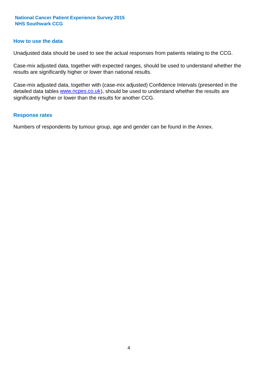#### **How to use the data**

Unadjusted data should be used to see the actual responses from patients relating to the CCG.

Case-mix adjusted data, together with expected ranges, should be used to understand whether the results are significantly higher or lower than national results.

Case-mix adjusted data, together with (case-mix adjusted) Confidence Intervals (presented in the detailed data tables **www.ncpes.co.uk**), should be used to understand whether the results are significantly higher or lower than the results for another CCG.

#### **Response rates**

Numbers of respondents by tumour group, age and gender can be found in the Annex.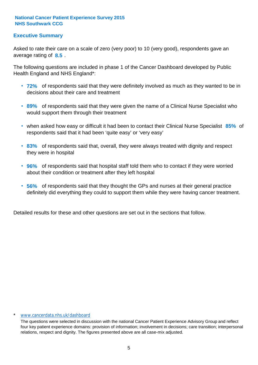#### **Executive Summary**

average rating of 8.5. Asked to rate their care on a scale of zero (very poor) to 10 (very good), respondents gave an

The following questions are included in phase 1 of the Cancer Dashboard developed by Public Health England and NHS England\*:

- **72%** of respondents said that they were definitely involved as much as they wanted to be in decisions about their care and treatment
- **89%** of respondents said that they were given the name of a Clinical Nurse Specialist who would support them through their treatment
- when asked how easy or difficult it had been to contact their Clinical Nurse Specialist 85% of respondents said that it had been 'quite easy' or 'very easy'
- **83%** of respondents said that, overall, they were always treated with dignity and respect they were in hospital
- **96%** of respondents said that hospital staff told them who to contact if they were worried about their condition or treatment after they left hospital
- **56%** of respondents said that they thought the GPs and nurses at their general practice definitely did everything they could to support them while they were having cancer treatment.

Detailed results for these and other questions are set out in the sections that follow.

#### www.cancerdata.nhs.uk/dashboard

The questions were selected in discussion with the national Cancer Patient Experience Advisory Group and reflect four key patient experience domains: provision of information; involvement in decisions; care transition; interpersonal relations, respect and dignity. The figures presented above are all case-mix adjusted.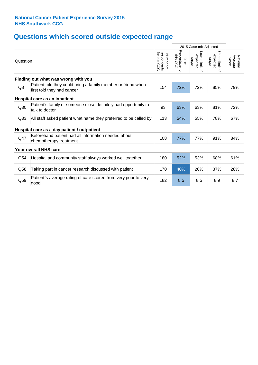## **Questions which scored outside expected range**

|                                     |                                                                                            |                                             | 2015 Case-mix Adjusted             |                                     |                                       |                              |  |  |  |  |
|-------------------------------------|--------------------------------------------------------------------------------------------|---------------------------------------------|------------------------------------|-------------------------------------|---------------------------------------|------------------------------|--|--|--|--|
| Question                            |                                                                                            | for this<br>respondents<br>Number of<br>CCG | Percentage for<br>this CCG<br>2015 | Lower limit of<br>expected<br>range | Upper limit<br>expected<br>range<br>õ | National<br>Average<br>Score |  |  |  |  |
| Finding out what was wrong with you |                                                                                            |                                             |                                    |                                     |                                       |                              |  |  |  |  |
| Q8                                  | Patient told they could bring a family member or friend when<br>first told they had cancer | 154                                         | 72%                                | 72%                                 | 85%                                   | 79%                          |  |  |  |  |
| Hospital care as an inpatient       |                                                                                            |                                             |                                    |                                     |                                       |                              |  |  |  |  |
| Q30                                 | Patient's family or someone close definitely had opportunity to<br>talk to doctor          | 93                                          | 63%                                | 63%                                 | 81%                                   | 72%                          |  |  |  |  |
| Q <sub>33</sub>                     | All staff asked patient what name they preferred to be called by                           | 113                                         | 54%                                | 55%                                 | 78%                                   | 67%                          |  |  |  |  |
|                                     | Hospital care as a day patient / outpatient                                                |                                             |                                    |                                     |                                       |                              |  |  |  |  |
| Q47                                 | Beforehand patient had all information needed about<br>chemotherapy treatment              | 108                                         | 77%                                | 77%                                 | 91%                                   | 84%                          |  |  |  |  |
|                                     | Your overall NHS care                                                                      |                                             |                                    |                                     |                                       |                              |  |  |  |  |
| Q54                                 | Hospital and community staff always worked well together                                   | 180                                         | 52%                                | 53%                                 | 68%                                   | 61%                          |  |  |  |  |
| Q58                                 | Taking part in cancer research discussed with patient                                      | 170                                         | 40%                                | 20%                                 | 37%                                   | 28%                          |  |  |  |  |
| Q59                                 | Patient's average rating of care scored from very poor to very<br>good                     | 182                                         | 8.5                                | 8.5                                 | 8.9                                   | 8.7                          |  |  |  |  |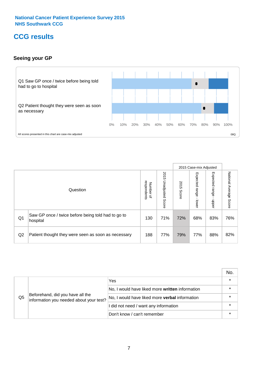### **CCG results**

#### **Seeing your GP**



|    |                                                                |                          |                             |               | 2015 Case-mix Adjusted     |                            |                           |
|----|----------------------------------------------------------------|--------------------------|-----------------------------|---------------|----------------------------|----------------------------|---------------------------|
|    | Question                                                       | respondents<br>Number of | 2015<br>Unadjusted<br>Score | 2015<br>Score | Expected<br>range<br>lower | Expected<br>range<br>nbber | National Average<br>Score |
| Q1 | Saw GP once / twice before being told had to go to<br>hospital | 130                      | 71%                         | 72%           | 68%                        | 83%                        | 76%                       |
| Q2 | Patient thought they were seen as soon as necessary            | 188                      | 77%                         | 79%           | 77%                        | 88%                        | 82%                       |

|    |                                                                             |                                                       | No.     |
|----|-----------------------------------------------------------------------------|-------------------------------------------------------|---------|
|    |                                                                             | Yes                                                   | $\star$ |
| Q5 | Beforehand, did you have all the<br>information you needed about your test? | No, I would have liked more written information       |         |
|    |                                                                             | No, I would have liked more <b>verbal</b> information |         |
|    |                                                                             | I did not need / want any information                 | $\star$ |
|    |                                                                             | Don't know / can't remember                           | $\star$ |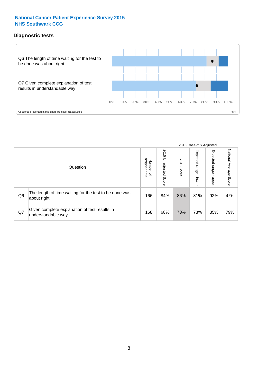#### **Diagnostic tests**



|                |                                                                       |                                   |                             |               | 2015 Case-mix Adjusted  |                              |                           |
|----------------|-----------------------------------------------------------------------|-----------------------------------|-----------------------------|---------------|-------------------------|------------------------------|---------------------------|
|                | Question                                                              | respondents<br>Number<br>$\Omega$ | 2015<br>Unadjusted<br>Score | 2015<br>Score | Expected range<br>lower | Expected<br>l range<br>nbber | National Average<br>Score |
| Q <sub>6</sub> | The length of time waiting for the test to be done was<br>about right | 166                               | 84%                         | 86%           | 81%                     | 92%                          | 87%                       |
| Q7             | Given complete explanation of test results in<br>understandable way   | 168                               | 68%                         | 73%           | 73%                     | 85%                          | 79%                       |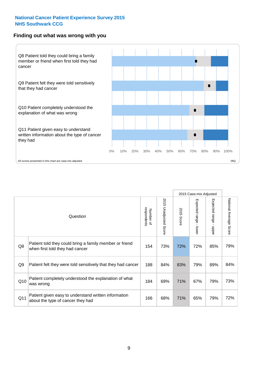#### **Finding out what was wrong with you**



|     |                                                                                            |                          |                       |            | 2015 Case-mix Adjusted |                           |                        |
|-----|--------------------------------------------------------------------------------------------|--------------------------|-----------------------|------------|------------------------|---------------------------|------------------------|
|     | Question                                                                                   | respondents<br>Number of | 2015 Unadjusted Score | 2015 Score | Expected range - lower | Expected range -<br>nbber | National Average Score |
| Q8  | Patient told they could bring a family member or friend<br>when first told they had cancer | 154                      | 73%                   | 72%        | 72%                    | 85%                       | 79%                    |
| Q9  | Patient felt they were told sensitively that they had cancer                               | 188                      | 84%                   | 83%        | 79%                    | 89%                       | 84%                    |
| Q10 | Patient completely understood the explanation of what<br>was wrong                         | 184                      | 69%                   | 71%        | 67%                    | 79%                       | 73%                    |
| Q11 | Patient given easy to understand written information<br>about the type of cancer they had  | 166                      | 68%                   | 71%        | 65%                    | 79%                       | 72%                    |
|     |                                                                                            |                          |                       |            |                        |                           |                        |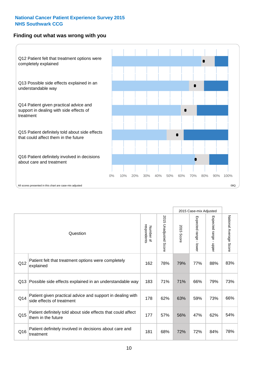#### **Finding out what was wrong with you**



|          |                                                                                         |                          |                          |            | 2015 Case-mix Adjusted                  |                           |                        |
|----------|-----------------------------------------------------------------------------------------|--------------------------|--------------------------|------------|-----------------------------------------|---------------------------|------------------------|
| Question |                                                                                         | respondents<br>Number of | 2015<br>Unadjusted Score | 2015 Score | Expected range<br>$\mathbf{r}$<br>lower | Expected range -<br>nbber | National Average Score |
| Q12      | Patient felt that treatment options were completely<br>explained                        | 162                      | 78%                      | 79%        | 77%                                     | 88%                       | 83%                    |
| Q13      | Possible side effects explained in an understandable way                                | 183                      | 71%                      | 71%        | 66%                                     | 79%                       | 73%                    |
| Q14      | Patient given practical advice and support in dealing with<br>side effects of treatment | 178                      | 62%                      | 63%        | 59%                                     | 73%                       | 66%                    |
| Q15      | Patient definitely told about side effects that could affect<br>them in the future      | 177                      | 57%                      | 56%        | 47%                                     | 62%                       | 54%                    |
| Q16      | Patient definitely involved in decisions about care and<br>treatment                    | 181                      | 68%                      | 72%        | 72%                                     | 84%                       | 78%                    |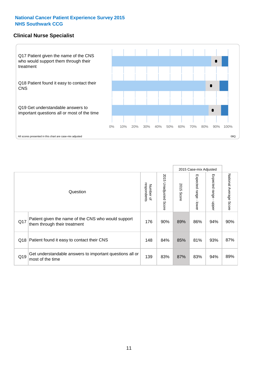#### **Clinical Nurse Specialist**



|     |                                                                                     |                          |                       |               | 2015 Case-mix Adjusted  |                         |                        |
|-----|-------------------------------------------------------------------------------------|--------------------------|-----------------------|---------------|-------------------------|-------------------------|------------------------|
|     | Question                                                                            | respondents<br>Number of | 2015 Unadjusted Score | 2015<br>Score | Expected range<br>lower | Expected range<br>nbber | National Average Score |
| Q17 | Patient given the name of the CNS who would support<br>them through their treatment | 176                      | 90%                   | 89%           | 86%                     | 94%                     | 90%                    |
|     | Q18 Patient found it easy to contact their CNS                                      | 148                      | 84%                   | 85%           | 81%                     | 93%                     | 87%                    |
| Q19 | Get understandable answers to important questions all or<br>most of the time        | 139                      | 83%                   | 87%           | 83%                     | 94%                     | 89%                    |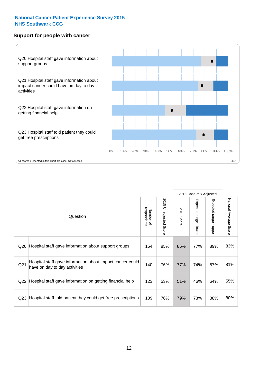#### **Support for people with cancer**



|                 |                                                                                            |                          |                                 |                      | 2015 Case-mix Adjusted                  |                                           |                        |
|-----------------|--------------------------------------------------------------------------------------------|--------------------------|---------------------------------|----------------------|-----------------------------------------|-------------------------------------------|------------------------|
|                 | Question                                                                                   | respondents<br>Number of | 2015<br><b>Unadjusted Score</b> | 2015<br><b>Score</b> | Expected range<br>$\mathbf{I}$<br>lower | Expected range<br>$\blacksquare$<br>nbber | National Average Score |
| Q20             | Hospital staff gave information about support groups                                       | 154                      | 85%                             | 86%                  | 77%                                     | 89%                                       | 83%                    |
| Q21             | Hospital staff gave information about impact cancer could<br>have on day to day activities | 140                      | 76%                             | 77%                  | 74%                                     | 87%                                       | 81%                    |
| Q22             | Hospital staff gave information on getting financial help                                  | 123                      | 53%                             | 51%                  | 46%                                     | 64%                                       | 55%                    |
| Q <sub>23</sub> | Hospital staff told patient they could get free prescriptions                              | 109                      | 76%                             | 79%                  | 73%                                     | 88%                                       | 80%                    |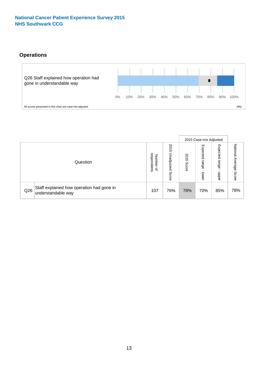#### **Operations**



|     |                                                                 |                                         |                             | 2015 Case-mix Adjusted |                            |                           |                              |
|-----|-----------------------------------------------------------------|-----------------------------------------|-----------------------------|------------------------|----------------------------|---------------------------|------------------------------|
|     | Question                                                        | respondents<br>Number<br>$\overline{a}$ | 2015<br>Unadjusted<br>Score | 2015<br>Score          | Expected<br>range<br>lower | Expected<br>range<br>ddoe | National<br>Average<br>Score |
| Q26 | Staff explained how operation had gone in<br>understandable way | 107                                     | 76%                         | 78%                    | 70%                        | 85%                       | 78%                          |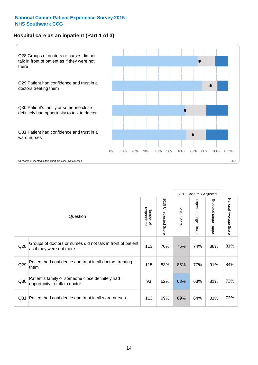#### **Hospital care as an inpatient (Part 1 of 3)**



All scores presented in this chart are case-mix adjusted  $08Q$ 

|                 |                                                                                           |                          |                                 |               | 2015 Case-mix Adjusted                  |                           |                        |
|-----------------|-------------------------------------------------------------------------------------------|--------------------------|---------------------------------|---------------|-----------------------------------------|---------------------------|------------------------|
|                 | Question                                                                                  | respondents<br>Number of | 2015<br><b>Unadjusted Score</b> | 2015<br>Score | Expected range<br>$\mathbf{r}$<br>lower | Expected range<br>- nbber | National Average Score |
| Q28             | Groups of doctors or nurses did not talk in front of patient<br>as if they were not there | 113                      | 70%                             | 75%           | 74%                                     | 88%                       | 81%                    |
| Q29             | Patient had confidence and trust in all doctors treating<br>them                          | 115                      | 83%                             | 85%           | 77%                                     | 91%                       | 84%                    |
| Q30             | Patient's family or someone close definitely had<br>opportunity to talk to doctor         | 93                       | 62%                             | 63%           | 63%                                     | 81%                       | 72%                    |
| Q <sub>31</sub> | Patient had confidence and trust in all ward nurses                                       | 113                      | 69%                             | 69%           | 64%                                     | 81%                       | 72%                    |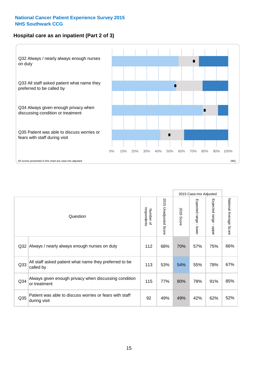#### **Hospital care as an inpatient (Part 2 of 3)**



| Question                                                                               | respondents<br>Number of | 2015<br><b>Unadjusted Score</b> | 2015<br>Score | Expected range - lower | Expected range<br>$\blacksquare$<br>nbber | National Average Score |
|----------------------------------------------------------------------------------------|--------------------------|---------------------------------|---------------|------------------------|-------------------------------------------|------------------------|
| Always / nearly always enough nurses on duty                                           | 112                      | 68%                             | 70%           | 57%                    | 75%                                       | 66%                    |
| All staff asked patient what name they preferred to be<br>Q <sub>33</sub><br>called by |                          | 53%                             | 54%           | 55%                    | 78%                                       | 67%                    |
| Always given enough privacy when discussing condition<br>or treatment                  | 115                      | 77%                             | 80%           | 78%                    | 91%                                       | 85%                    |
| Patient was able to discuss worries or fears with staff<br>during visit                | 92                       | 49%                             | 49%           | 42%                    | 62%                                       | 52%                    |
|                                                                                        | Q32                      | 113                             |               |                        |                                           | 2015 Case-mix Adjusted |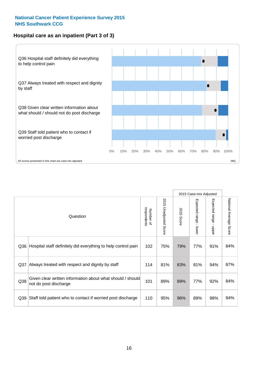#### **Hospital care as an inpatient (Part 3 of 3)**



|                                                                                            |                                                               |                          |                                 |               | 2015 Case-mix Adjusted                    |                           |                        |
|--------------------------------------------------------------------------------------------|---------------------------------------------------------------|--------------------------|---------------------------------|---------------|-------------------------------------------|---------------------------|------------------------|
|                                                                                            | Question                                                      | Number of<br>respondents | 2015<br><b>Unadjusted Score</b> | 2015<br>Score | Expected range<br>$\blacksquare$<br>lower | Expected range -<br>nbber | National Average Score |
| Q36                                                                                        | Hospital staff definitely did everything to help control pain | 102                      | 75%                             | 79%           | 77%                                       | 91%                       | 84%                    |
| Always treated with respect and dignity by staff<br>Q <sub>37</sub>                        |                                                               | 114                      | 81%                             | 83%           | 81%                                       | 94%                       | 87%                    |
| Given clear written information about what should / should<br>Q38<br>not do post discharge |                                                               | 101                      | 89%                             | 89%           | 77%                                       | 92%                       | 84%                    |
| Q39                                                                                        | Staff told patient who to contact if worried post discharge   | 110                      | 95%                             | 96%           | 89%                                       | 98%                       | 94%                    |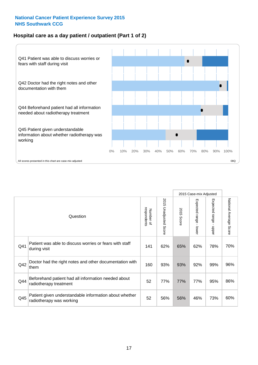#### **Hospital care as a day patient / outpatient (Part 1 of 2)**



|     |                                                                                    |                          |                                 |                      | 2015 Case-mix Adjusted                  |                                         |                        |
|-----|------------------------------------------------------------------------------------|--------------------------|---------------------------------|----------------------|-----------------------------------------|-----------------------------------------|------------------------|
|     | Question                                                                           | respondents<br>Number of | 2015<br><b>Unadjusted Score</b> | 2015<br><b>Score</b> | Expected range<br>$\mathbf{r}$<br>lower | Expected range<br>$\mathbf{I}$<br>nbber | National Average Score |
| Q41 | Patient was able to discuss worries or fears with staff<br>during visit            | 141                      | 62%                             | 65%                  | 62%                                     | 78%                                     | 70%                    |
| Q42 | Doctor had the right notes and other documentation with<br>them                    | 160                      | 93%                             | 93%                  | 92%                                     | 99%                                     | 96%                    |
| Q44 | Beforehand patient had all information needed about<br>radiotherapy treatment      | 52                       | 77%                             | 77%                  | 77%                                     | 95%                                     | 86%                    |
| Q45 | Patient given understandable information about whether<br>radiotherapy was working | 52                       | 56%                             | 56%                  | 46%                                     | 73%                                     | 60%                    |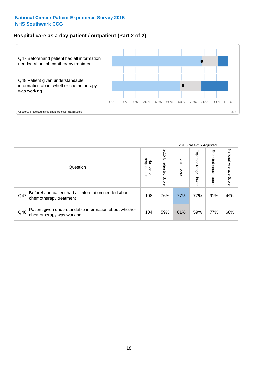#### **Hospital care as a day patient / outpatient (Part 2 of 2)**



|          |                                                                                    |                                       |                             | 2015 Case-mix Adjusted |                              |                         |                           |
|----------|------------------------------------------------------------------------------------|---------------------------------------|-----------------------------|------------------------|------------------------------|-------------------------|---------------------------|
| Question |                                                                                    | respondents<br>Number<br>$\mathbf{Q}$ | 2015<br>Unadjusted<br>Score | 2015<br>Score          | Expected<br>I range<br>lower | Expected range<br>doper | National Average<br>Score |
| Q47      | Beforehand patient had all information needed about<br>chemotherapy treatment      | 108                                   | 76%                         | 77%                    | 77%                          | 91%                     | 84%                       |
| Q48      | Patient given understandable information about whether<br>chemotherapy was working | 104                                   | 59%                         | 61%                    | 59%                          | 77%                     | 68%                       |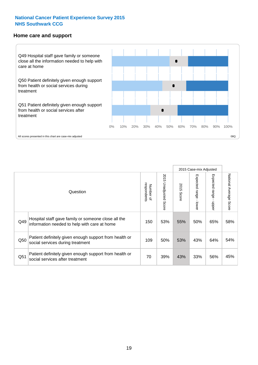#### **Home care and support**



2015 Case-mix Adjusted 2015 Unadjusted Score Expected range - upper National Average Score 2015 Unadjusted Score Expected range - lower National Average Score Expected range - lower Expected range - upper Number of<br>respondents 2015 Score respondents 2015 Score Number of Question Hospital staff gave family or someone close all the  $Q49$  information needed to help with care at home  $Q49$  |  $53\%$  |  $55\%$  |  $50\%$  |  $65\%$  |  $58\%$ Patient definitely given enough support from health or  $\frac{1050}{\text{social services during treatment}}$  109  $\begin{vmatrix} 109 & 50\% & 53\% & 43\% \end{vmatrix}$  64% 54% Patient definitely given enough support from health or  $\frac{1}{20}$  39% 43% 33% 56% 45%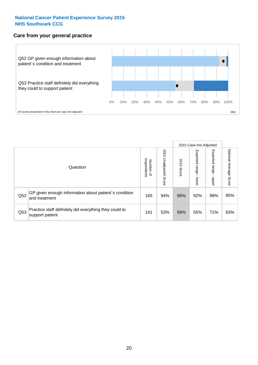#### **Care from your general practice**



|          |                                                                           |                                       |                             | 2015 Case-mix Adjusted |                                    |                            |                           |
|----------|---------------------------------------------------------------------------|---------------------------------------|-----------------------------|------------------------|------------------------------------|----------------------------|---------------------------|
| Question |                                                                           | respondents<br>Number<br>$\mathbf{Q}$ | 2015<br>Unadjusted<br>Score | 2015<br>Score          | Expected<br><b>Irange</b><br>lower | Expected<br>range<br>doper | National Average<br>Score |
| Q52      | GP given enough information about patient's condition<br>and treatment    | 165                                   | 94%                         | 96%                    | 92%                                | 99%                        | 95%                       |
| Q53      | Practice staff definitely did everything they could to<br>support patient | 141                                   | 53%                         | 56%                    | 55%                                | 71%                        | 63%                       |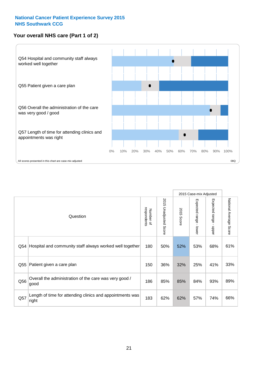#### **Your overall NHS care (Part 1 of 2)**



|                                                                       |                                                                    |                          |                       | 2015 Case-mix Adjusted |                                           |                                           |                        |
|-----------------------------------------------------------------------|--------------------------------------------------------------------|--------------------------|-----------------------|------------------------|-------------------------------------------|-------------------------------------------|------------------------|
|                                                                       | Question                                                           | respondents<br>Number of | 2015 Unadjusted Score | 2015<br><b>Score</b>   | Expected range<br>$\blacksquare$<br>lower | Expected range<br>$\blacksquare$<br>nbber | National Average Score |
|                                                                       | Hospital and community staff always worked well together<br>Q54    |                          | 50%                   | 52%                    | 53%                                       | 68%                                       | 61%                    |
| Q55                                                                   | Patient given a care plan                                          |                          | 36%                   | 32%                    | 25%                                       | 41%                                       | 33%                    |
| Overall the administration of the care was very good /<br>Q56<br>good |                                                                    | 186                      | 85%                   | 85%                    | 84%                                       | 93%                                       | 89%                    |
| Q57                                                                   | Length of time for attending clinics and appointments was<br>right | 183                      | 62%                   | 62%                    | 57%                                       | 74%                                       | 66%                    |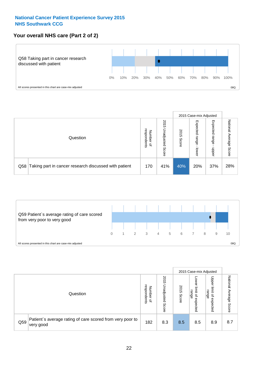#### **Your overall NHS care (Part 2 of 2)**



|          |                                                       |                                   |                             | 2015 Case-mix Adjusted |                            |                            |                        |
|----------|-------------------------------------------------------|-----------------------------------|-----------------------------|------------------------|----------------------------|----------------------------|------------------------|
| Question |                                                       | respondents<br>Number<br>$\Omega$ | 2015<br>Unadjusted<br>Score | 2015<br>Score          | Expected<br>range<br>lower | Expected<br>range<br>nbber | National Average Score |
| Q58      | Taking part in cancer research discussed with patient | 170                               | 41%                         | 40%                    | 20%                        | 37%                        | 28%                    |



|     |                                                                        |                                              |                             | 2015 Case-mix Adjusted |                                         |                                                 |                        |
|-----|------------------------------------------------------------------------|----------------------------------------------|-----------------------------|------------------------|-----------------------------------------|-------------------------------------------------|------------------------|
|     | Question                                                               | respondents<br>Number<br>$\overline{\sigma}$ | 2015<br>Unadjusted<br>Score | 2015<br>Score          | OWer<br>limit<br>range<br>٩<br>expected | Upper<br>jimit<br>range<br>$\Omega$<br>expected | National Average Score |
| Q59 | Patient's average rating of care scored from very poor to<br>very good | 182                                          | 8.3                         | 8.5                    | 8.5                                     | 8.9                                             | 8.7                    |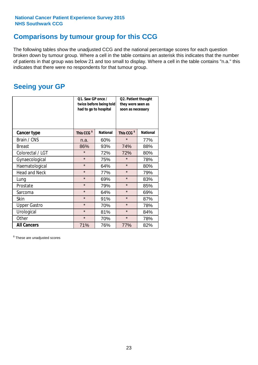### **Comparisons by tumour group for this CCG**

The following tables show the unadjusted CCG and the national percentage scores for each question broken down by tumour group. Where a cell in the table contains an asterisk this indicates that the number of patients in that group was below 21 and too small to display. Where a cell in the table contains "n.a." this indicates that there were no respondents for that tumour group.

### **Seeing your GP**

|                      | Q1. Saw GP once /<br>had to go to hospital | twice before being told | Q2. Patient thought<br>they were seen as<br>soon as necessary |                 |  |
|----------------------|--------------------------------------------|-------------------------|---------------------------------------------------------------|-----------------|--|
| <b>Cancer type</b>   | This CCG <sup>\$</sup>                     | <b>National</b>         | This CCG <sup>\$</sup>                                        | <b>National</b> |  |
| Brain / CNS          | n.a.                                       | 60%                     | $\star$                                                       | 77%             |  |
| <b>Breast</b>        | 86%                                        | 93%                     | 74%                                                           | 88%             |  |
| Colorectal / LGT     | $\star$                                    | 72%                     | 72%                                                           | 80%             |  |
| Gynaecological       | $\star$<br>75%                             |                         | $\star$                                                       | 78%             |  |
| Haematological       | $\star$                                    | 64%                     | $\star$                                                       | 80%             |  |
| <b>Head and Neck</b> | $\star$                                    | 77%                     | $\star$                                                       | 79%             |  |
| Lung                 | $\star$                                    | 69%                     | $\star$                                                       | 83%             |  |
| Prostate             | $\star$                                    | 79%                     | $\star$                                                       | 85%             |  |
| Sarcoma              | $\star$                                    | 64%                     | $\star$                                                       | 69%             |  |
| <b>Skin</b>          | $\star$                                    | 91%                     | $\star$                                                       | 87%             |  |
| <b>Upper Gastro</b>  | $\star$                                    | 70%                     | $\star$                                                       | 78%             |  |
| Urological           | $\star$                                    | 81%                     | $\star$                                                       | 84%             |  |
| Other                | $\star$                                    | 70%                     | $\star$                                                       | 78%             |  |
| <b>All Cancers</b>   | 71%                                        | 76%                     | 77%                                                           | 82%             |  |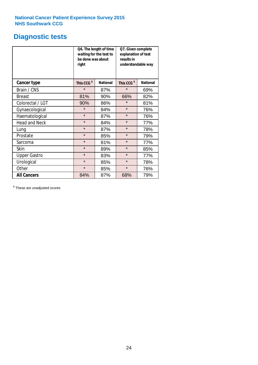### **Diagnostic tests**

|                      | be done was about<br>right | Q6. The length of time<br>waiting for the test to | Q7. Given complete<br>explanation of test<br>results in<br>understandable way |                 |  |  |
|----------------------|----------------------------|---------------------------------------------------|-------------------------------------------------------------------------------|-----------------|--|--|
| <b>Cancer type</b>   | This CCG <sup>\$</sup>     | <b>National</b>                                   | This CCG <sup>\$</sup>                                                        | <b>National</b> |  |  |
| Brain / CNS          | $\star$                    | 87%                                               | $\star$                                                                       | 69%             |  |  |
| <b>Breast</b>        | 81%                        | 90%                                               | 66%                                                                           | 82%             |  |  |
| Colorectal / LGT     | 90%                        | 86%                                               | $\star$                                                                       | 81%             |  |  |
| Gynaecological       | $\star$<br>84%             |                                                   | $\star$                                                                       | 76%             |  |  |
| Haematological       | $\star$                    | 87%                                               | $\star$                                                                       | 76%             |  |  |
| <b>Head and Neck</b> | $\star$                    | 84%                                               | $\star$                                                                       | 77%             |  |  |
| Lung                 | $\star$                    | 87%                                               | $\star$                                                                       | 78%             |  |  |
| Prostate             | $\star$                    | 85%                                               | $\star$                                                                       | 79%             |  |  |
| Sarcoma              | $\star$                    | 81%                                               | $\star$                                                                       | 77%             |  |  |
| Skin                 | $\star$                    | 89%                                               | $\star$                                                                       | 85%             |  |  |
| <b>Upper Gastro</b>  | $\star$                    | 83%                                               | $\star$                                                                       | 77%             |  |  |
| Urological           | $\star$                    | 85%                                               | $\star$                                                                       | 78%             |  |  |
| Other                | $\star$                    | 85%                                               | $\star$                                                                       | 76%             |  |  |
| <b>All Cancers</b>   | 84%                        | 87%                                               | 68%                                                                           | 79%             |  |  |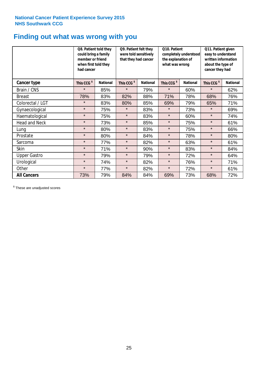### **Finding out what was wrong with you**

|                      | Q8. Patient told they<br>could bring a family<br>member or friend<br>when first told they<br>had cancer |                 | Q9. Patient felt they<br>were told sensitively<br>that they had cancer |                 | Q10. Patient<br>completely understood<br>the explanation of<br>what was wrong<br><b>National</b> |     | Q11. Patient given<br>easy to understand<br>written information<br>about the type of<br>cancer they had |                 |
|----------------------|---------------------------------------------------------------------------------------------------------|-----------------|------------------------------------------------------------------------|-----------------|--------------------------------------------------------------------------------------------------|-----|---------------------------------------------------------------------------------------------------------|-----------------|
| Cancer type          | This CCG <sup>\$</sup>                                                                                  | <b>National</b> | This CCG <sup>\$</sup>                                                 | <b>National</b> | This CCG <sup>\$</sup>                                                                           |     | This CCG <sup>\$</sup>                                                                                  | <b>National</b> |
| Brain / CNS          | $\star$                                                                                                 | 85%             | $\star$                                                                | 79%             | $\star$                                                                                          | 60% | $\star$                                                                                                 | 62%             |
| <b>Breast</b>        | 78%                                                                                                     | 83%             | 82%                                                                    | 88%             | 71%                                                                                              | 78% | 68%                                                                                                     | 76%             |
| Colorectal / LGT     | $\star$                                                                                                 | 83%             | 80%                                                                    | 85%             | 69%                                                                                              | 79% | 65%                                                                                                     | 71%             |
| Gynaecological       | $\star$                                                                                                 | 75%             | $\star$                                                                | 83%             | $\star$                                                                                          | 73% | $\star$                                                                                                 | 69%             |
| Haematological       | $\star$                                                                                                 | 75%             | $\star$                                                                | 83%             | $\star$                                                                                          | 60% | $\star$                                                                                                 | 74%             |
| <b>Head and Neck</b> | $\star$                                                                                                 | 73%             | $\star$                                                                | 85%             | $\star$                                                                                          | 75% | $\star$                                                                                                 | 61%             |
| Lung                 | $\star$                                                                                                 | 80%             | $\star$                                                                | 83%             | $\star$                                                                                          | 75% | $\star$                                                                                                 | 66%             |
| Prostate             | $\star$                                                                                                 | 80%             | $\star$                                                                | 84%             | $\star$                                                                                          | 78% | $\star$                                                                                                 | 80%             |
| Sarcoma              | $\star$                                                                                                 | 77%             | $\star$                                                                | 82%             | $\star$                                                                                          | 63% | $\star$                                                                                                 | 61%             |
| Skin                 | $\star$                                                                                                 | 71%             | $\star$                                                                | 90%             | $\star$                                                                                          | 83% | $\star$                                                                                                 | 84%             |
| <b>Upper Gastro</b>  | $\star$                                                                                                 | 79%             | $\star$                                                                | 79%             | $\star$                                                                                          | 72% | $\star$                                                                                                 | 64%             |
| Urological           | $\star$                                                                                                 | 74%             | $\star$                                                                | 82%             | $\star$                                                                                          | 76% | $\star$                                                                                                 | 71%             |
| Other                | $\star$                                                                                                 | 77%             | $\star$                                                                | 82%             | $\star$                                                                                          | 72% | $\star$                                                                                                 | 61%             |
| <b>All Cancers</b>   | 73%                                                                                                     | 79%             | 84%                                                                    | 84%             | 69%                                                                                              | 73% | 68%                                                                                                     | 72%             |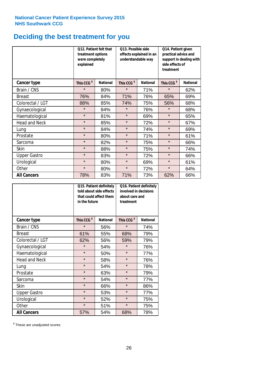## **Deciding the best treatment for you**

|                      | treatment options<br>were completely<br>explained | Q12. Patient felt that | Q13. Possible side<br>understandable way  | effects explained in an | Q14. Patient given<br>practical advice and<br>side effects of<br>treatment | support in dealing with |
|----------------------|---------------------------------------------------|------------------------|-------------------------------------------|-------------------------|----------------------------------------------------------------------------|-------------------------|
| <b>Cancer type</b>   | This CCG <sup>\$</sup>                            | <b>National</b>        | This CCG <sup>\$</sup><br><b>National</b> |                         | This CCG <sup>\$</sup>                                                     | <b>National</b>         |
| Brain / CNS          | $\star$                                           | 80%                    | $\star$                                   | 71%                     | $\star$                                                                    | 62%                     |
| <b>Breast</b>        | 76%                                               | 84%                    | 71%                                       | 76%                     | 65%                                                                        | 69%                     |
| Colorectal / LGT     | 88%                                               | 85%                    | 74%                                       | 75%                     | 56%                                                                        | 68%                     |
| Gynaecological       | $\star$                                           | 84%                    | $\star$<br>76%                            |                         | $\star$                                                                    | 68%                     |
| Haematological       | $\star$                                           | 81%                    | $\star$                                   | 69%                     |                                                                            | 65%                     |
| <b>Head and Neck</b> | $\star$                                           | 85%                    | $\star$                                   | 72%                     | $\star$                                                                    | 67%                     |
| Lung                 | $\star$                                           | 84%                    | $\star$                                   | 74%                     | $\star$                                                                    | 69%                     |
| Prostate             | $\star$                                           | 80%                    | $\star$                                   | 71%                     | $\star$                                                                    | 61%                     |
| Sarcoma              | $\star$                                           | 82%                    | $\star$                                   | 75%                     | $\star$                                                                    | 66%                     |
| Skin                 | $\star$                                           | 88%                    | $\star$                                   | 75%                     | $\star$                                                                    | 74%                     |
| <b>Upper Gastro</b>  | $\star$                                           | 83%                    | $\star$                                   | 72%                     | $\star$                                                                    | 66%                     |
| Urological           | $\star$                                           | 80%                    | $\star$<br>69%                            |                         | $\star$                                                                    | 61%                     |
| Other                | $\star$                                           | 80%                    | $\star$                                   | 72%                     | $\star$                                                                    | 64%                     |
| <b>All Cancers</b>   | 78%                                               | 83%                    | 71%                                       | 73%                     | 62%                                                                        | 66%                     |

|                      | in the future          | Q15. Patient definitely<br>told about side effects<br>that could affect them | Q16. Patient definitely<br>involved in decisions<br>about care and<br>treatment |                 |  |
|----------------------|------------------------|------------------------------------------------------------------------------|---------------------------------------------------------------------------------|-----------------|--|
| <b>Cancer type</b>   | This CCG <sup>\$</sup> | <b>National</b>                                                              | This CCG <sup>\$</sup>                                                          | <b>National</b> |  |
| Brain / CNS          | $\star$                | 56%                                                                          | $\star$                                                                         | 74%             |  |
| <b>Breast</b>        | 61%                    | 55%                                                                          | 68%                                                                             | 79%             |  |
| Colorectal / LGT     | 62%                    | 56%                                                                          | 59%                                                                             | 79%             |  |
| Gynaecological       | $\star$                | 54%                                                                          | $\star$                                                                         | 76%             |  |
| Haematological       | $\star$                | 50%                                                                          | $\star$                                                                         | 77%             |  |
| <b>Head and Neck</b> | $\star$                | 58%                                                                          | $\star$                                                                         | 76%             |  |
| Lung                 | $\star$                | 54%                                                                          | $\star$                                                                         | 78%             |  |
| Prostate             | $\star$                | 63%                                                                          | $\star$                                                                         | 79%             |  |
| Sarcoma              | $\star$                | 54%                                                                          | $\star$                                                                         | 77%             |  |
| Skin                 | $\star$                | 66%                                                                          | $\star$                                                                         | 86%             |  |
| <b>Upper Gastro</b>  | $\star$                | 53%                                                                          | $\star$                                                                         | 77%             |  |
| Urological           | $\star$                | 52%                                                                          | $\star$                                                                         | 75%             |  |
| Other                | $\star$                | 51%                                                                          | $\star$                                                                         | 75%             |  |
| <b>All Cancers</b>   | 57%                    | 54%                                                                          | 68%                                                                             | 78%             |  |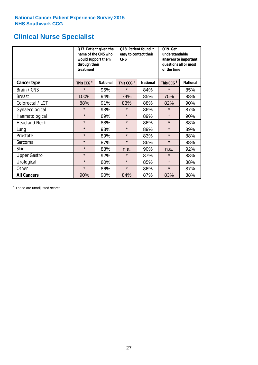### **Clinical Nurse Specialist**

|                      | would support them<br>through their<br>treatment | Q17. Patient given the<br>name of the CNS who | Q18. Patient found it<br>easy to contact their<br><b>CNS</b> |                 | <b>Q19. Get</b><br>understandable<br>answers to important<br>questions all or most<br>of the time |                 |  |
|----------------------|--------------------------------------------------|-----------------------------------------------|--------------------------------------------------------------|-----------------|---------------------------------------------------------------------------------------------------|-----------------|--|
| <b>Cancer type</b>   | This CCG <sup>\$</sup>                           | <b>National</b>                               | This CCG <sup>\$</sup>                                       | <b>National</b> | This CCG <sup>\$</sup>                                                                            | <b>National</b> |  |
| Brain / CNS          | $\star$                                          | 95%                                           | $\star$                                                      | 84%             | $\star$                                                                                           | 85%             |  |
| <b>Breast</b>        | 100%                                             | 94%                                           | 74%                                                          | 85%             | 75%                                                                                               | 88%             |  |
| Colorectal / LGT     | 88%                                              | 91%                                           | 83%                                                          | 88%             | 82%                                                                                               | 90%             |  |
| Gynaecological       | $\star$                                          | 93%                                           | $\star$                                                      | 86%             | $\star$                                                                                           | 87%             |  |
| Haematological       | $\star$                                          | 89%                                           | $\star$                                                      | 89%             | $\star$                                                                                           | 90%             |  |
| <b>Head and Neck</b> | $\star$                                          | 88%                                           | $\star$                                                      | 86%             | $\star$                                                                                           | 88%             |  |
| Lung                 | $\star$                                          | 93%                                           | $\star$                                                      | 89%             | $\star$                                                                                           | 89%             |  |
| Prostate             | $\star$                                          | 89%                                           | $\star$                                                      | 83%             | $\star$                                                                                           | 88%             |  |
| Sarcoma              | $\star$                                          | 87%                                           | $\star$                                                      | 86%             | $\star$                                                                                           | 88%             |  |
| Skin                 | $\star$                                          | 88%                                           | n.a.                                                         | 90%             | n.a.                                                                                              | 92%             |  |
| <b>Upper Gastro</b>  | $\star$                                          | 92%                                           | $\star$                                                      | 87%             | $\star$                                                                                           | 88%             |  |
| Urological           | $\star$                                          | 80%                                           | $\star$                                                      | 85%             | $\star$                                                                                           | 88%             |  |
| Other                | $\star$                                          | 86%                                           | $\star$                                                      | 86%             | $\star$                                                                                           | 87%             |  |
| <b>All Cancers</b>   | 90%                                              | 90%                                           | 84%                                                          | 87%             | 83%                                                                                               | 88%             |  |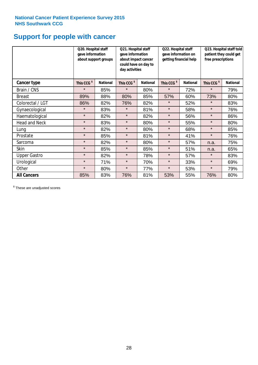### **Support for people with cancer**

|                      | Q20. Hospital staff<br>gave information | about support groups | Q21. Hospital staff<br>Q22. Hospital staff<br>gave information on<br>gave information<br>getting financial help<br>about impact cancer<br>could have on day to<br>day activities |                 | Q23. Hospital staff told<br>patient they could get<br>free prescriptions |                 |                        |                 |
|----------------------|-----------------------------------------|----------------------|----------------------------------------------------------------------------------------------------------------------------------------------------------------------------------|-----------------|--------------------------------------------------------------------------|-----------------|------------------------|-----------------|
| Cancer type          | This CCG <sup>\$</sup>                  | <b>National</b>      | This CCG <sup>\$</sup>                                                                                                                                                           | <b>National</b> | This CCG <sup>\$</sup>                                                   | <b>National</b> | This CCG <sup>\$</sup> | <b>National</b> |
| Brain / CNS          | $\star$                                 | 85%                  | $\star$                                                                                                                                                                          | 80%             | $\star$                                                                  | 72%             | $\star$                | 79%             |
| <b>Breast</b>        | 89%                                     | 88%                  | 80%                                                                                                                                                                              | 85%             | 57%                                                                      | 60%             | 73%                    | 80%             |
| Colorectal / LGT     | 86%                                     | 82%                  | 76%                                                                                                                                                                              | 82%             | $\star$                                                                  | 52%             | $\star$                | 83%             |
| Gynaecological       | $\star$                                 | 83%                  | $\star$                                                                                                                                                                          | 81%             | $\star$                                                                  | 58%             | $\star$                | 76%             |
| Haematological       | $\star$                                 | 82%                  | $\star$                                                                                                                                                                          | 82%             | $\star$                                                                  | 56%             | $\star$                | 86%             |
| <b>Head and Neck</b> | $\star$                                 | 83%                  | $\star$                                                                                                                                                                          | 80%             | $\star$                                                                  | 55%             | $\star$                | 80%             |
| Lung                 | $\star$                                 | 82%                  | $\star$                                                                                                                                                                          | 80%             | $\star$                                                                  | 68%             | $\star$                | 85%             |
| Prostate             | $\star$                                 | 85%                  | $\star$                                                                                                                                                                          | 81%             | $\star$                                                                  | 41%             | $\star$                | 76%             |
| Sarcoma              | $\star$                                 | 82%                  | $\star$                                                                                                                                                                          | 80%             | $\star$                                                                  | 57%             | n.a.                   | 75%             |
| Skin                 | $\star$                                 | 85%                  | $\star$                                                                                                                                                                          | 85%             | $\star$                                                                  | 51%             | n.a.                   | 65%             |
| <b>Upper Gastro</b>  | $\star$                                 | 82%                  | $\star$                                                                                                                                                                          | 78%             | $\star$                                                                  | 57%             | $\star$                | 83%             |
| Urological           | $\star$                                 | 71%                  | $\star$                                                                                                                                                                          | 70%             | $\star$                                                                  | 33%             | $\star$                | 69%             |
| Other                | $\star$                                 | 80%                  | $\star$                                                                                                                                                                          | 77%             | $\star$                                                                  | 53%             | $\star$                | 79%             |
| <b>All Cancers</b>   | 85%                                     | 83%                  | 76%                                                                                                                                                                              | 81%             | 53%                                                                      | 55%             | 76%                    | 80%             |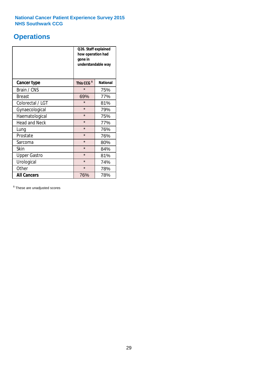### **Operations**

|                      | Q26. Staff explained<br>how operation had<br>gone in<br>understandable way |                 |  |  |
|----------------------|----------------------------------------------------------------------------|-----------------|--|--|
| <b>Cancer type</b>   | This CCG <sup>\$</sup>                                                     | <b>National</b> |  |  |
| Brain / CNS          | $\star$                                                                    | 75%             |  |  |
| <b>Breast</b>        | 69%                                                                        | 77%             |  |  |
| Colorectal / LGT     | $\star$                                                                    | 81%             |  |  |
| Gynaecological       | $\star$<br>79%                                                             |                 |  |  |
| Haematological       | $\star$<br>75%                                                             |                 |  |  |
| <b>Head and Neck</b> | $\star$                                                                    | 77%             |  |  |
| Lung                 | $\star$                                                                    | 76%             |  |  |
| Prostate             | $\star$                                                                    | 76%             |  |  |
| Sarcoma              | $\star$                                                                    | 80%             |  |  |
| Skin                 | $\star$                                                                    | 84%             |  |  |
| <b>Upper Gastro</b>  | $\star$                                                                    | 81%             |  |  |
| Urological           | $\star$                                                                    | 74%             |  |  |
| Other                | $\star$<br>78%                                                             |                 |  |  |
| <b>All Cancers</b>   | 76%                                                                        | 78%             |  |  |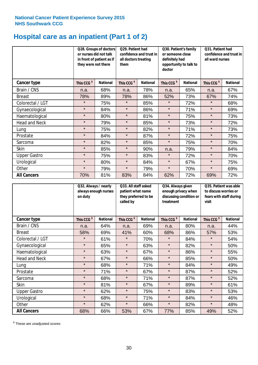### **Hospital care as an inpatient (Part 1 of 2)**

|                      | or nurses did not talk<br>they were not there | Q28. Groups of doctors<br>in front of patient as if | Q29. Patient had<br>Q30. Patient's family<br>confidence and trust in<br>or someone close<br>definitely had<br>all doctors treating<br>opportunity to talk to<br>them<br>doctor |                 |                        | Q31. Patient had<br>confidence and trust in I<br>all ward nurses |                        |                 |
|----------------------|-----------------------------------------------|-----------------------------------------------------|--------------------------------------------------------------------------------------------------------------------------------------------------------------------------------|-----------------|------------------------|------------------------------------------------------------------|------------------------|-----------------|
| Cancer type          | This CCG <sup>\$</sup>                        | <b>National</b>                                     | This CCG <sup>\$</sup>                                                                                                                                                         | <b>National</b> | This CCG <sup>\$</sup> | <b>National</b>                                                  | This CCG <sup>\$</sup> | <b>National</b> |
| Brain / CNS          | n.a.                                          | 68%                                                 | n.a.                                                                                                                                                                           | 78%             | n.a.                   | 65%                                                              | n.a.                   | 67%             |
| <b>Breast</b>        | 78%                                           | 89%                                                 | 78%                                                                                                                                                                            | 86%             | 52%                    | 73%                                                              | 67%                    | 74%             |
| Colorectal / LGT     | $\star$                                       | 75%                                                 | $\star$                                                                                                                                                                        | 85%             | $\star$                | 72%                                                              | $\star$                | 68%             |
| Gynaecological       | $\star$                                       | 84%                                                 | $\star$                                                                                                                                                                        | 86%             | $\star$                | 71%                                                              | $\star$                | 69%             |
| Haematological       | $\star$                                       | 80%                                                 | $\star$                                                                                                                                                                        | 81%             | $\star$                | 75%                                                              | $\star$                | 73%             |
| <b>Head and Neck</b> | $\star$                                       | 79%                                                 | $\star$                                                                                                                                                                        | 85%             | $\star$                | 73%                                                              | $\star$                | 72%             |
| Lung                 | $\star$                                       | 75%                                                 | $\star$                                                                                                                                                                        | 82%             | $\star$                | 71%                                                              | $\star$                | 73%             |
| Prostate             | $\star$                                       | 84%                                                 | $\star$                                                                                                                                                                        | 87%             | $\star$                | 72%                                                              | $\star$                | 75%             |
| Sarcoma              | $\star$                                       | 82%                                                 | $\star$                                                                                                                                                                        | 85%             | $\star$                | 75%                                                              | $\star$                | 70%             |
| Skin                 | $\star$                                       | 85%                                                 | $\star$                                                                                                                                                                        | 90%             | n.a.                   | 79%                                                              | $\star$                | 84%             |
| <b>Upper Gastro</b>  | $\star$                                       | 75%                                                 | $\star$                                                                                                                                                                        | 83%             | $\star$                | 72%                                                              | $\star$                | 70%             |
| Urological           | $\star$                                       | 80%                                                 | $\star$                                                                                                                                                                        | 84%             | $\star$                | 67%                                                              | $\star$                | 75%             |
| Other                | $\star$                                       | 79%                                                 | $\star$                                                                                                                                                                        | 79%             | $\star$                | 70%                                                              | $\star$                | 69%             |
| <b>All Cancers</b>   | 70%                                           | 81%                                                 | 83%                                                                                                                                                                            | 84%             | 62%                    | 72%                                                              | 69%                    | 72%             |

|                      | on duty                | Q32. Always / nearly<br>always enough nurses |                        | Q33. All staff asked<br>patient what name<br>they preferred to be<br>called by |                        | Q34. Always given<br>enough privacy when<br>discussing condition or<br>treatment |                        | Q35. Patient was able<br>to discuss worries or<br>fears with staff during<br>visit |  |
|----------------------|------------------------|----------------------------------------------|------------------------|--------------------------------------------------------------------------------|------------------------|----------------------------------------------------------------------------------|------------------------|------------------------------------------------------------------------------------|--|
| <b>Cancer type</b>   | This CCG <sup>\$</sup> | <b>National</b>                              | This CCG <sup>\$</sup> | <b>National</b>                                                                | This CCG <sup>\$</sup> | <b>National</b>                                                                  | This CCG <sup>\$</sup> | <b>National</b>                                                                    |  |
| Brain / CNS          | n.a.                   | 64%                                          | n.a.                   | 69%                                                                            | n.a.                   | 80%                                                                              | n.a.                   | 44%                                                                                |  |
| <b>Breast</b>        | 58%                    | 69%                                          | 41%                    | 60%                                                                            | 68%                    | 86%                                                                              | 57%                    | 53%                                                                                |  |
| Colorectal / LGT     | $\star$                | 61%                                          | $\star$                | 70%                                                                            | $\star$                | 84%                                                                              | $\star$                | 54%                                                                                |  |
| Gynaecological       | $\star$                | 65%                                          | $\star$                | 63%                                                                            | $\star$                | 82%                                                                              | $\star$                | 50%                                                                                |  |
| Haematological       | $\star$                | 63%                                          | $\star$                | 67%                                                                            | $\star$                | 86%                                                                              | $\star$                | 55%                                                                                |  |
| <b>Head and Neck</b> | $\star$                | 67%                                          | $\star$                | 66%                                                                            | $\star$                | 85%                                                                              | $\star$                | 50%                                                                                |  |
| Lung                 | $\star$                | 68%                                          | $\star$                | 71%                                                                            | $\star$                | 84%                                                                              | $\star$                | 49%                                                                                |  |
| Prostate             | $\star$                | 71%                                          | $\star$                | 67%                                                                            | $\star$                | 87%                                                                              | $\star$                | 52%                                                                                |  |
| Sarcoma              | $\star$                | 68%                                          | $\star$                | 71%                                                                            | $\star$                | 87%                                                                              | $\star$                | 52%                                                                                |  |
| Skin                 | $\star$                | 81%                                          | $\star$                | 67%                                                                            | $\star$                | 89%                                                                              | $\star$                | 61%                                                                                |  |
| <b>Upper Gastro</b>  | $\star$                | 62%                                          | $\star$                | 75%                                                                            | $\star$                | 83%                                                                              | $\star$                | 53%                                                                                |  |
| Urological           | $\star$                | 68%                                          | $\star$                | 71%                                                                            | $\star$                | 84%                                                                              | $\star$                | 46%                                                                                |  |
| Other                | $\star$                | 62%                                          | $\star$                | 66%                                                                            | $\star$                | 82%                                                                              | $\star$                | 48%                                                                                |  |
| <b>All Cancers</b>   | 68%                    | 66%                                          | 53%                    | 67%                                                                            | 77%                    | 85%                                                                              | 49%                    | 52%                                                                                |  |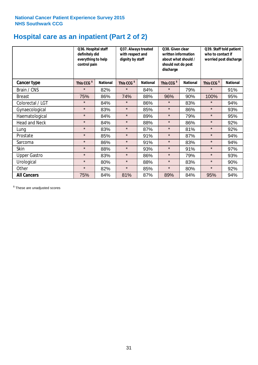### **Hospital care as an inpatient (Part 2 of 2)**

|                      | Q36. Hospital staff<br>definitely did<br>everything to help<br>control pain |                 | Q37. Always treated<br>Q38. Given clear<br>with respect and<br>written information<br>dignity by staff<br>about what should /<br>should not do post<br>discharge |                 | Q39. Staff told patient<br>who to contact if<br>worried post discharge |                 |                        |                 |
|----------------------|-----------------------------------------------------------------------------|-----------------|------------------------------------------------------------------------------------------------------------------------------------------------------------------|-----------------|------------------------------------------------------------------------|-----------------|------------------------|-----------------|
| Cancer type          | This CCG <sup>\$</sup>                                                      | <b>National</b> | This CCG <sup>\$</sup>                                                                                                                                           | <b>National</b> | This CCG <sup>\$</sup>                                                 | <b>National</b> | This CCG <sup>\$</sup> | <b>National</b> |
| Brain / CNS          | $\star$                                                                     | 82%             | $\star$                                                                                                                                                          | 84%             | $\star$                                                                | 79%             | $\star$                | 91%             |
| <b>Breast</b>        | 75%                                                                         | 86%             | 74%                                                                                                                                                              | 88%             | 96%                                                                    | 90%             | 100%                   | 95%             |
| Colorectal / LGT     | $\star$                                                                     | 84%             | $\star$                                                                                                                                                          | 86%             | $\star$                                                                | 83%             | $\star$                | 94%             |
| Gynaecological       | $\star$                                                                     | 83%             | $\star$                                                                                                                                                          | 85%             | $\star$                                                                | 86%             | $\star$                | 93%             |
| Haematological       | $\star$                                                                     | 84%             | $\star$                                                                                                                                                          | 89%             | $\star$                                                                | 79%             | $\star$                | 95%             |
| <b>Head and Neck</b> | $\star$                                                                     | 84%             | $\star$                                                                                                                                                          | 88%             | $\star$                                                                | 86%             | $\star$                | 92%             |
| Lung                 | $\star$                                                                     | 83%             | $\star$                                                                                                                                                          | 87%             | $\star$                                                                | 81%             | $\star$                | 92%             |
| Prostate             | $\star$                                                                     | 85%             | $\star$                                                                                                                                                          | 91%             | $\star$                                                                | 87%             | $\star$                | 94%             |
| Sarcoma              | $\star$                                                                     | 86%             | $\star$                                                                                                                                                          | 91%             | $\star$                                                                | 83%             | $\star$                | 94%             |
| Skin                 | $\star$                                                                     | 88%             | $\star$                                                                                                                                                          | 93%             | $\star$                                                                | 91%             | $\star$                | 97%             |
| <b>Upper Gastro</b>  | $\star$                                                                     | 83%             | $\star$                                                                                                                                                          | 86%             | $\star$                                                                | 79%             | $\star$                | 93%             |
| Urological           | $\star$                                                                     | 80%             | $\star$                                                                                                                                                          | 88%             | $\star$                                                                | 83%             | $\star$                | 90%             |
| Other                | $\star$                                                                     | 82%             | $\star$                                                                                                                                                          | 85%             | $\star$                                                                | 80%             | $\star$                | 92%             |
| <b>All Cancers</b>   | 75%                                                                         | 84%             | 81%                                                                                                                                                              | 87%             | 89%                                                                    | 84%             | 95%                    | 94%             |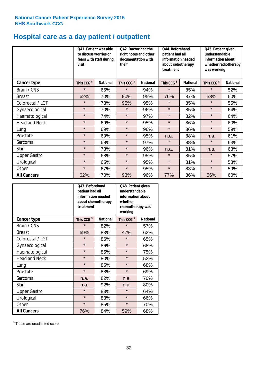## **Hospital care as a day patient / outpatient**

|                      | to discuss worries or<br>visit | Q41. Patient was able<br>fears with staff during | Q42. Doctor had the<br>Q44. Beforehand<br>right notes and other<br>patient had all<br>documentation with<br>information needed<br>about radiotherapy<br>them<br>treatment |                 |                        | Q45. Patient given<br>understandable<br>information about<br>whether radiotherapy<br>was working |                        |                 |
|----------------------|--------------------------------|--------------------------------------------------|---------------------------------------------------------------------------------------------------------------------------------------------------------------------------|-----------------|------------------------|--------------------------------------------------------------------------------------------------|------------------------|-----------------|
| <b>Cancer type</b>   | This CCG <sup>\$</sup>         | <b>National</b>                                  | This CCG <sup>\$</sup>                                                                                                                                                    | <b>National</b> | This CCG <sup>\$</sup> | <b>National</b>                                                                                  | This CCG <sup>\$</sup> | <b>National</b> |
| Brain / CNS          | $\star$                        | 65%                                              | $\star$                                                                                                                                                                   | 94%             | $\star$                | 85%                                                                                              | $\star$                | 52%             |
| <b>Breast</b>        | 62%                            | 70%                                              | 90%                                                                                                                                                                       | 95%             | 76%                    | 87%                                                                                              | 58%                    | 60%             |
| Colorectal / LGT     | $\star$                        | 73%                                              | 95%                                                                                                                                                                       | 95%             | $\star$                | 85%                                                                                              | $\star$                | 55%             |
| Gynaecological       | $\star$                        | 70%                                              | $\star$                                                                                                                                                                   | 96%             | $\star$                | 85%                                                                                              | $\star$                | 64%             |
| Haematological       | $\star$                        | 74%                                              | $\star$                                                                                                                                                                   | 97%             | $\star$                | 82%                                                                                              | $\star$                | 64%             |
| <b>Head and Neck</b> | $\star$                        | 69%                                              | $\star$                                                                                                                                                                   | 95%             | $\star$                | 86%                                                                                              | $\star$                | 60%             |
| Lung                 | $\star$                        | 69%                                              | $\star$                                                                                                                                                                   | 96%             | $\star$                | 86%                                                                                              | $\star$                | 59%             |
| Prostate             | $\star$                        | 69%                                              | $\star$                                                                                                                                                                   | 95%             | n.a.                   | 88%                                                                                              | n.a.                   | 61%             |
| Sarcoma              | $\star$                        | 68%                                              | $\star$                                                                                                                                                                   | 97%             | $\star$                | 88%                                                                                              | $\star$                | 63%             |
| Skin                 | $\star$                        | 73%                                              | $\star$                                                                                                                                                                   | 96%             | n.a.                   | 81%                                                                                              | n.a.                   | 63%             |
| <b>Upper Gastro</b>  | $\star$                        | 68%                                              | $\star$                                                                                                                                                                   | 95%             | $\star$                | 85%                                                                                              | $\star$                | 57%             |
| Urological           | $\star$                        | 65%                                              | $\star$                                                                                                                                                                   | 95%             | $\star$                | 81%                                                                                              | $\star$                | 53%             |
| Other                | $\star$                        | 67%                                              | $\star$                                                                                                                                                                   | 95%             | $\star$                | 83%                                                                                              | $\star$                | 59%             |
| <b>All Cancers</b>   | 62%                            | 70%                                              | 93%                                                                                                                                                                       | 96%             | 77%                    | 86%                                                                                              | 56%                    | 60%             |

|                      | Q47. Beforehand<br>patient had all<br>information needed<br>about chemotherapy<br>treatment |                 | Q48. Patient given<br>understandable<br>information about<br>whether<br>chemotherapy was<br>working |                 |  |
|----------------------|---------------------------------------------------------------------------------------------|-----------------|-----------------------------------------------------------------------------------------------------|-----------------|--|
| <b>Cancer type</b>   | This CCG <sup>\$</sup>                                                                      | <b>National</b> | This CCG <sup>\$</sup>                                                                              | <b>National</b> |  |
| Brain / CNS          | $\star$                                                                                     | 82%             | $\star$                                                                                             | 57%             |  |
| <b>Breast</b>        | 69%                                                                                         | 83%             | 47%                                                                                                 | 62%             |  |
| Colorectal / LGT     | $\star$                                                                                     | 86%             | $\star$                                                                                             | 65%             |  |
| Gynaecological       | $\star$                                                                                     | 86%             | $\star$                                                                                             | 68%             |  |
| Haematological       | $\star$<br>85%                                                                              |                 | $\star$                                                                                             | 75%             |  |
| <b>Head and Neck</b> | $\star$                                                                                     | 80%             | $\star$                                                                                             | 52%             |  |
| Lung                 | $\star$                                                                                     | 85%             | $\star$                                                                                             | 68%             |  |
| Prostate             | $\star$                                                                                     | 83%             | $\star$                                                                                             | 69%             |  |
| Sarcoma              | n.a.                                                                                        | 82%             | n.a.                                                                                                | 70%             |  |
| <b>Skin</b>          | n.a.                                                                                        | 92%             | n.a.                                                                                                | 80%             |  |
| <b>Upper Gastro</b>  | $\star$                                                                                     | 83%             | $\star$                                                                                             | 64%             |  |
| Urological           | $\star$                                                                                     | 83%             | $\star$                                                                                             | 66%             |  |
| Other                | $\star$                                                                                     | 85%             | $\star$                                                                                             | 70%             |  |
| <b>All Cancers</b>   | 76%                                                                                         | 84%             | 59%                                                                                                 | 68%             |  |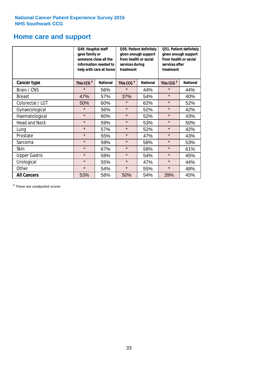# **Home care and support**

|                      | Q49. Hospital staff<br>gave family or                                                  | someone close all the<br>information needed to<br>help with care at home | from health or social<br>services during<br>treatment | Q50. Patient definitely<br>given enough support | Q51. Patient definitely<br>given enough support<br>from health or social<br>services after<br>treatment |     |  |
|----------------------|----------------------------------------------------------------------------------------|--------------------------------------------------------------------------|-------------------------------------------------------|-------------------------------------------------|---------------------------------------------------------------------------------------------------------|-----|--|
| <b>Cancer type</b>   | This CCG <sup>\$</sup><br>This CCG <sup>\$</sup><br><b>National</b><br><b>National</b> |                                                                          | This CCG <sup>\$</sup>                                | <b>National</b>                                 |                                                                                                         |     |  |
| Brain / CNS          | $\star$                                                                                | 56%                                                                      | $\star$                                               | 44%                                             | $\star$                                                                                                 | 44% |  |
| <b>Breast</b>        | 47%                                                                                    | 57%                                                                      | 37%                                                   | 54%                                             | $\star$                                                                                                 | 40% |  |
| Colorectal / LGT     | 50%                                                                                    | 60%                                                                      | $\star$                                               | 62%                                             | $\star$                                                                                                 | 52% |  |
| Gynaecological       | $\star$                                                                                | 56%                                                                      | $\star$                                               | 52%                                             | $\star$                                                                                                 | 42% |  |
| Haematological       | $\star$                                                                                | 60%                                                                      | $\star$                                               | 52%                                             | $\star$                                                                                                 | 43% |  |
| <b>Head and Neck</b> | $\star$                                                                                | 59%                                                                      | $\star$                                               | 53%                                             | $\star$                                                                                                 | 50% |  |
| Lung                 | $\star$                                                                                | 57%                                                                      | $\star$                                               | 52%                                             | $\star$                                                                                                 | 42% |  |
| Prostate             | $\star$                                                                                | 55%                                                                      | $\star$                                               | 47%                                             | $\star$                                                                                                 | 43% |  |
| Sarcoma              | $\star$                                                                                | 59%                                                                      | $\star$                                               | 58%                                             | $\star$                                                                                                 | 53% |  |
| Skin                 | $\star$                                                                                | 67%                                                                      | $\star$                                               | 58%                                             | $\star$                                                                                                 | 61% |  |
| <b>Upper Gastro</b>  | $\star$                                                                                | 59%                                                                      | $\star$                                               | 54%                                             | $\star$                                                                                                 | 45% |  |
| Urological           | $\star$                                                                                | 55%                                                                      | $\star$                                               | 47%                                             | $\star$                                                                                                 | 44% |  |
| Other                | $\star$                                                                                | 54%                                                                      | $\star$                                               | 55%                                             | $\star$                                                                                                 | 48% |  |
| <b>All Cancers</b>   | 53%                                                                                    | 58%                                                                      | 50%                                                   | 54%                                             | 39%                                                                                                     | 45% |  |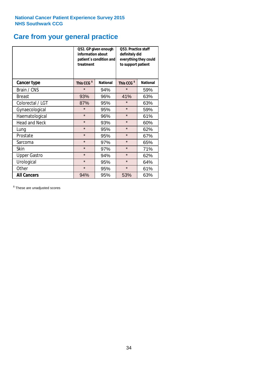### **Care from your general practice**

|                      | information about<br>treatment | Q52. GP given enough<br>patient's condition and | <b>O53. Practice staff</b><br>definitely did<br>everything they could<br>to support patient |                 |  |
|----------------------|--------------------------------|-------------------------------------------------|---------------------------------------------------------------------------------------------|-----------------|--|
| <b>Cancer type</b>   | This CCG <sup>\$</sup>         | <b>National</b>                                 | This CCG <sup>\$</sup>                                                                      | <b>National</b> |  |
| Brain / CNS          | $\star$                        | 94%                                             | $\star$                                                                                     | 59%             |  |
| <b>Breast</b>        | 93%                            | 96%                                             | 41%                                                                                         | 63%             |  |
| Colorectal / LGT     | 87%                            | 95%                                             | $\star$                                                                                     | 63%             |  |
| Gynaecological       | $\star$<br>95%                 |                                                 | $\star$                                                                                     | 59%             |  |
| Haematological       | $\star$                        | 96%                                             | $\star$                                                                                     | 61%             |  |
| <b>Head and Neck</b> | $\star$                        | 93%                                             | $\star$                                                                                     | 60%             |  |
| Lung                 | $\star$                        | 95%                                             | $\star$                                                                                     | 62%             |  |
| Prostate             | $\star$                        | 95%                                             | $\star$                                                                                     | 67%             |  |
| Sarcoma              | $\star$                        | 97%                                             | $\star$                                                                                     | 65%             |  |
| Skin                 | $\star$                        | 97%                                             | $\star$                                                                                     | 71%             |  |
| <b>Upper Gastro</b>  | $\star$                        | 94%                                             | $\star$                                                                                     | 62%             |  |
| Urological           | $\star$                        | 95%                                             | $\star$                                                                                     | 64%             |  |
| Other                | $\star$                        | 95%                                             | $\star$                                                                                     | 61%             |  |
| <b>All Cancers</b>   | 94%                            | 95%                                             | 53%                                                                                         | 63%             |  |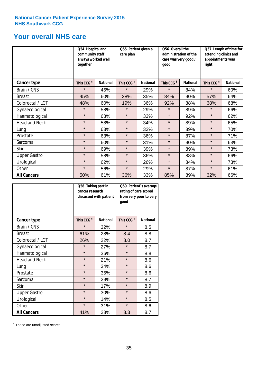### **Your overall NHS care**

|                      | Q54. Hospital and<br>community staff<br>always worked well<br>together |                 | care plan              | Q55. Patient given a |                        | Q56. Overall the<br>administration of the<br>care was very good /<br>qood |                        | Q57. Length of time for<br>attending clinics and<br>appointments was<br>right |  |
|----------------------|------------------------------------------------------------------------|-----------------|------------------------|----------------------|------------------------|---------------------------------------------------------------------------|------------------------|-------------------------------------------------------------------------------|--|
| <b>Cancer type</b>   | This CCG <sup>\$</sup>                                                 | <b>National</b> | This CCG <sup>\$</sup> | <b>National</b>      | This CCG <sup>\$</sup> | <b>National</b>                                                           | This CCG <sup>\$</sup> | <b>National</b>                                                               |  |
| Brain / CNS          | $\star$                                                                | 45%             | $\star$                | 29%                  | $\star$                | 84%                                                                       | $\star$                | 60%                                                                           |  |
| <b>Breast</b>        | 45%                                                                    | 60%             | 38%                    | 35%                  | 84%                    | 90%                                                                       | 57%                    | 64%                                                                           |  |
| Colorectal / LGT     | 48%                                                                    | 60%             | 19%                    | 36%                  | 92%                    | 88%                                                                       | 68%                    | 68%                                                                           |  |
| Gynaecological       | $\star$                                                                | 58%             | $\star$                | 29%                  | $\star$                | 89%                                                                       | $\star$                | 66%                                                                           |  |
| Haematological       | $\star$                                                                | 63%             | $\star$                | 33%                  | $\star$                | 92%                                                                       | $\star$                | 62%                                                                           |  |
| <b>Head and Neck</b> | $\star$                                                                | 58%             | $\star$                | 34%                  | $\star$                | 89%                                                                       | $\star$                | 65%                                                                           |  |
| Lung                 | $\star$                                                                | 63%             | $\star$                | 32%                  | $\star$                | 89%                                                                       | $\star$                | 70%                                                                           |  |
| Prostate             | $\star$                                                                | 63%             | $\star$                | 36%                  | $\star$                | 87%                                                                       | $\star$                | 71%                                                                           |  |
| Sarcoma              | $\star$                                                                | 60%             | $\star$                | 31%                  | $\star$                | 90%                                                                       | $\star$                | 63%                                                                           |  |
| Skin                 | $\star$                                                                | 69%             | $\star$                | 39%                  | $\star$                | 89%                                                                       | $\star$                | 73%                                                                           |  |
| <b>Upper Gastro</b>  | $\star$                                                                | 58%             | $\star$                | 36%                  | $\star$                | 88%                                                                       | $\star$                | 66%                                                                           |  |
| Urological           | $\star$                                                                | 62%             | $\star$                | 26%                  | $\star$                | 84%                                                                       | $\star$                | 73%                                                                           |  |
| Other                | $\star$                                                                | 56%             | $\star$                | 29%                  | $\star$                | 87%                                                                       | $\star$                | 61%                                                                           |  |
| <b>All Cancers</b>   | 50%                                                                    | 61%             | 36%                    | 33%                  | 85%                    | 89%                                                                       | 62%                    | 66%                                                                           |  |

|                      | Q58. Taking part in<br>cancer research | discussed with patient | Q59. Patient's average<br>rating of care scored<br>from very poor to very<br>good |                 |  |
|----------------------|----------------------------------------|------------------------|-----------------------------------------------------------------------------------|-----------------|--|
| <b>Cancer type</b>   | This CCG <sup>\$</sup>                 | <b>National</b>        | This CCG <sup>\$</sup>                                                            | <b>National</b> |  |
| Brain / CNS          | $\star$                                | 32%                    | $\star$                                                                           | 8.5             |  |
| <b>Breast</b>        | 61%                                    | 28%                    | 8.4                                                                               | 8.8             |  |
| Colorectal / LGT     | 26%                                    | 22%                    | 8.0                                                                               | 8.7             |  |
| Gynaecological       | $\star$                                | 27%                    | $\star$                                                                           | 8.7             |  |
| Haematological       | $\star$                                | 36%                    | $\star$                                                                           | 8.8             |  |
| <b>Head and Neck</b> | $\star$                                | 21%                    | $\star$                                                                           | 8.6             |  |
| Lung                 | $\star$                                | 34%                    | $\star$                                                                           | 8.6             |  |
| Prostate             | $\star$                                | 35%                    | $\star$                                                                           | 8.6             |  |
| Sarcoma              | $\star$                                | 29%                    | $\star$                                                                           | 8.7             |  |
| <b>Skin</b>          | $\star$                                | 17%                    | $\star$                                                                           | 8.9             |  |
| <b>Upper Gastro</b>  | $\star$                                | 30%                    | $\star$                                                                           | 8.6             |  |
| Urological           | $\star$                                | 14%                    | $\star$                                                                           | 8.5             |  |
| Other                | $\star$                                | 31%                    | $\star$                                                                           | 8.6             |  |
| <b>All Cancers</b>   | 41%                                    | 28%                    | 8.3                                                                               | 8.7             |  |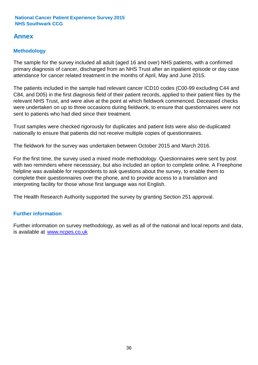### **Annex**

#### **Methodology**

The sample for the survey included all adult (aged 16 and over) NHS patients, with a confirmed primary diagnosis of cancer, discharged from an NHS Trust after an inpatient episode or day case attendance for cancer related treatment in the months of April, May and June 2015.

The patients included in the sample had relevant cancer ICD10 codes (C00-99 excluding C44 and C84, and D05) in the first diagnosis field of their patient records, applied to their patient files by the relevant NHS Trust, and were alive at the point at which fieldwork commenced. Deceased checks were undertaken on up to three occasions during fieldwork, to ensure that questionnaires were not sent to patients who had died since their treatment.

Trust samples were checked rigorously for duplicates and patient lists were also de-duplicated nationally to ensure that patients did not receive multiple copies of questionnaires.

The fieldwork for the survey was undertaken between October 2015 and March 2016.

For the first time, the survey used a mixed mode methodology. Questionnaires were sent by post with two reminders where necesssary, but also included an option to complete online. A Freephone helpline was available for respondents to ask questions about the survey, to enable them to complete their questionnaires over the phone, and to provide access to a translation and interpreting facility for those whose first language was not English.

The Health Research Authority supported the survey by granting Section 251 approval.

#### **Further information**

Further information on survey methodology, as well as all of the national and local reports and data, is available at www.ncpes.co.uk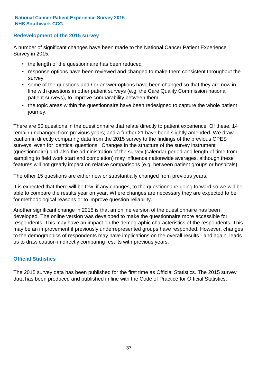#### **Redevelopment of the 2015 survey**

A number of significant changes have been made to the National Cancer Patient Experience Survey in 2015:

- the length of the questionnaire has been reduced
- response options have been reviewed and changed to make them consistent throughout the survey
- some of the questions and / or answer options have been changed so that they are now in line with questions in other patient surveys (e.g. the Care Quality Commission national patient surveys), to improve comparability between them
- the topic areas within the questionnaire have been redesigned to capture the whole patient journey.

There are 50 questions in the questionnaire that relate directly to patient experience. Of these, 14 remain unchanged from previous years; and a further 21 have been slightly amended. We draw caution in directly comparing data from the 2015 survey to the findings of the previous CPES surveys, even for identical questions. Changes in the structure of the survey instrument (questionnaire) and also the administration of the survey (calendar period and length of time from sampling to field work start and completion) may influence nationwide averages, although these features will not greatly impact on relative comparisons (e.g. between patient groups or hospitals).

The other 15 questions are either new or substantially changed from previous years.

It is expected that there will be few, if any changes, to the questionnaire going forward so we will be able to compare the results year on year. Where changes are necessary they are expected to be for methodological reasons or to improve question reliability.

Another significant change in 2015 is that an online version of the questionnaire has been developed. The online version was developed to make the questionnaire more accessible for respondents. This may have an impact on the demographic characteristics of the respondents. This may be an improvement if previously underrepresented groups have responded. However, changes to the demographics of respondents may have implications on the overall results - and again, leads us to draw caution in directly comparing results with previous years.

#### **Official Statistics**

The 2015 survey data has been published for the first time as Official Statistics. The 2015 survey data has been produced and published in line with the Code of Practice for Official Statistics.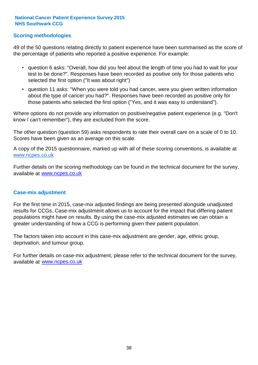#### **Scoring methodologies**

49 of the 50 questions relating directly to patient experience have been summarised as the score of the percentage of patients who reported a positive experience. For example:

- question 6 asks: "Overall, how did you feel about the length of time you had to wait for your test to be done?". Responses have been recorded as positive only for those patients who selected the first option ("It was about right")
- question 11 asks: "When you were told you had cancer, were you given written information about the type of cancer you had?". Responses have been recorded as positive only for those patients who selected the first option ("Yes, and it was easy to understand").

Where options do not provide any information on positive/negative patient experience (e.g. "Don't know / can't remember"), they are excluded from the score.

The other question (question 59) asks respondents to rate their overall care on a scale of 0 to 10. Scores have been given as an average on this scale.

A copy of the 2015 questionnaire, marked up with all of these scoring conventions, is available at www.ncpes.co.uk

Further details on the scoring methodology can be found in the technical document for the survey, available at <u>www.ncpes.co.uk</u>

#### **Case-mix adjustment**

For the first time in 2015, case-mix adjusted findings are being presented alongside unadjusted results for CCGs. Case-mix adjustment allows us to account for the impact that differing patient populations might have on results. By using the case-mix adjusted estimates we can obtain a greater understanding of how a CCG is performing given their patient population.

The factors taken into account in this case-mix adjustment are gender, age, ethnic group, deprivation, and tumour group.

For further details on case-mix adjustment, please refer to the technical document for the survey, available at www.ncpes.co.uk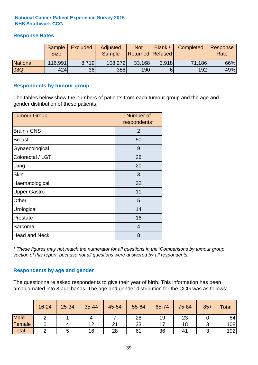#### **Response Rates**

|                 | Sample<br><b>Size</b> | <b>Excluded</b> | Adjusted<br><b>Sample</b> | <b>Not</b><br><b>Returned Refused</b> | Blank / | Completed | Response<br>Rate |
|-----------------|-----------------------|-----------------|---------------------------|---------------------------------------|---------|-----------|------------------|
| <b>National</b> | 116,991               | 8.719           | 108,272                   | 33,168                                | 3.918   | 71,186    | 66%              |
| 08Q             | 424                   | 36              | 388                       | 190                                   |         | 192       | 49%              |

#### **Respondents by tumour group**

The tables below show the numbers of patients from each tumour group and the age and gender distribution of these patients.

| <b>Tumour Group</b>  | Number of<br>respondents* |
|----------------------|---------------------------|
| Brain / CNS          | 2                         |
| <b>Breast</b>        | 50                        |
| Gynaecological       | 9                         |
| Colorectal / LGT     | 28                        |
| Lung                 | 20                        |
| <b>Skin</b>          | 3                         |
| Haematological       | 22                        |
| <b>Upper Gastro</b>  | 11                        |
| Other                | 5                         |
| Urological           | 14                        |
| Prostate             | 16                        |
| Sarcoma              | $\overline{4}$            |
| <b>Head and Neck</b> | 8                         |

*\* These figures may not match the numerator for all questions in the 'Comparisons by tumour group' section of this report, because not all questions were answered by all respondents.*

#### **Respondents by age and gender**

The questionnaire asked respondents to give their year of birth. This information has been amalgamated into 8 age bands. The age and gender distribution for the CCG was as follows:

|             | 16-24 | 25-34 | 35-44 | 45-54 | 55-64 | 65-74 | 75-84 | $85+$ | <b>Total</b> |
|-------------|-------|-------|-------|-------|-------|-------|-------|-------|--------------|
| <b>Male</b> |       |       |       |       | 28    | 19    | 23    |       | 84           |
| Female      |       | 4     | 12    | 21    | 33    |       | 18    |       | 108          |
| Total       |       |       | 16    | 28    | 61    | 36    | 41    |       | 192          |